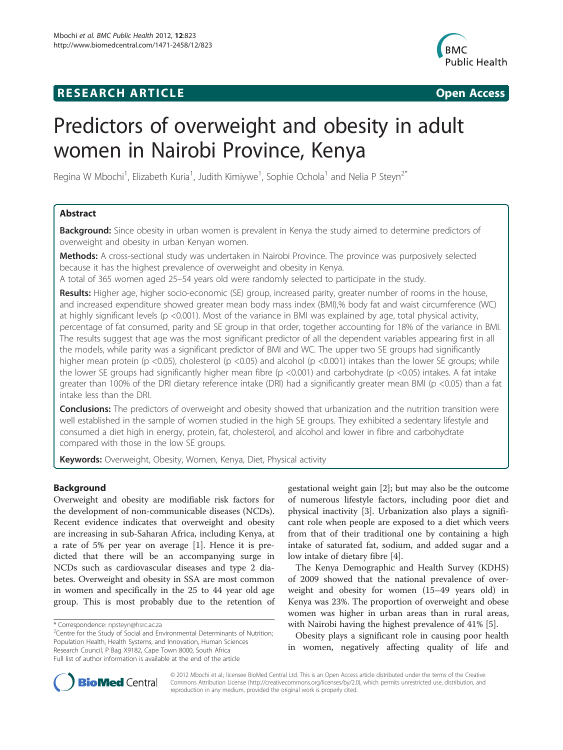# **RESEARCH ARTICLE Example 2018 12:00 Open Access**



# Predictors of overweight and obesity in adult women in Nairobi Province, Kenya

Regina W Mbochi<sup>1</sup>, Elizabeth Kuria<sup>1</sup>, Judith Kimiywe<sup>1</sup>, Sophie Ochola<sup>1</sup> and Nelia P Steyn<sup>2\*</sup>

# Abstract

**Background:** Since obesity in urban women is prevalent in Kenya the study aimed to determine predictors of overweight and obesity in urban Kenyan women.

Methods: A cross-sectional study was undertaken in Nairobi Province. The province was purposively selected because it has the highest prevalence of overweight and obesity in Kenya.

A total of 365 women aged 25–54 years old were randomly selected to participate in the study.

Results: Higher age, higher socio-economic (SE) group, increased parity, greater number of rooms in the house, and increased expenditure showed greater mean body mass index (BMI),% body fat and waist circumference (WC) at highly significant levels (p <0.001). Most of the variance in BMI was explained by age, total physical activity, percentage of fat consumed, parity and SE group in that order, together accounting for 18% of the variance in BMI. The results suggest that age was the most significant predictor of all the dependent variables appearing first in all the models, while parity was a significant predictor of BMI and WC. The upper two SE groups had significantly higher mean protein (p <0.05), cholesterol (p <0.05) and alcohol (p <0.001) intakes than the lower SE groups; while the lower SE groups had significantly higher mean fibre (p <0.001) and carbohydrate (p <0.05) intakes. A fat intake greater than 100% of the DRI dietary reference intake (DRI) had a significantly greater mean BMI (p <0.05) than a fat intake less than the DRI.

**Conclusions:** The predictors of overweight and obesity showed that urbanization and the nutrition transition were well established in the sample of women studied in the high SE groups. They exhibited a sedentary lifestyle and consumed a diet high in energy, protein, fat, cholesterol, and alcohol and lower in fibre and carbohydrate compared with those in the low SE groups.

Keywords: Overweight, Obesity, Women, Kenya, Diet, Physical activity

# Background

Overweight and obesity are modifiable risk factors for the development of non-communicable diseases (NCDs). Recent evidence indicates that overweight and obesity are increasing in sub-Saharan Africa, including Kenya, at a rate of 5% per year on average [\[1\]](#page-7-0). Hence it is predicted that there will be an accompanying surge in NCDs such as cardiovascular diseases and type 2 diabetes. Overweight and obesity in SSA are most common in women and specifically in the 25 to 44 year old age group. This is most probably due to the retention of

<sup>2</sup>Centre for the Study of Social and Environmental Determinants of Nutrition; Population Health, Health Systems, and Innovation, Human Sciences Research Council, P Bag X9182, Cape Town 8000, South Africa Full list of author information is available at the end of the article

gestational weight gain [[2\]](#page-7-0); but may also be the outcome of numerous lifestyle factors, including poor diet and physical inactivity [[3\]](#page-7-0). Urbanization also plays a significant role when people are exposed to a diet which veers from that of their traditional one by containing a high intake of saturated fat, sodium, and added sugar and a low intake of dietary fibre [\[4](#page-7-0)].

The Kenya Demographic and Health Survey (KDHS) of 2009 showed that the national prevalence of overweight and obesity for women (15–49 years old) in Kenya was 23%. The proportion of overweight and obese women was higher in urban areas than in rural areas, with Nairobi having the highest prevalence of 41% [\[5](#page-7-0)].

Obesity plays a significant role in causing poor health in women, negatively affecting quality of life and



© 2012 Mbochi et al.; licensee BioMed Central Ltd. This is an Open Access article distributed under the terms of the Creative Commons Attribution License [\(http://creativecommons.org/licenses/by/2.0\)](http://creativecommons.org/licenses/by/2.0), which permits unrestricted use, distribution, and reproduction in any medium, provided the original work is properly cited.

<sup>\*</sup> Correspondence: [npsteyn@hsrc.ac.za](mailto:npsteyn@hsrc.ac.za) <sup>2</sup>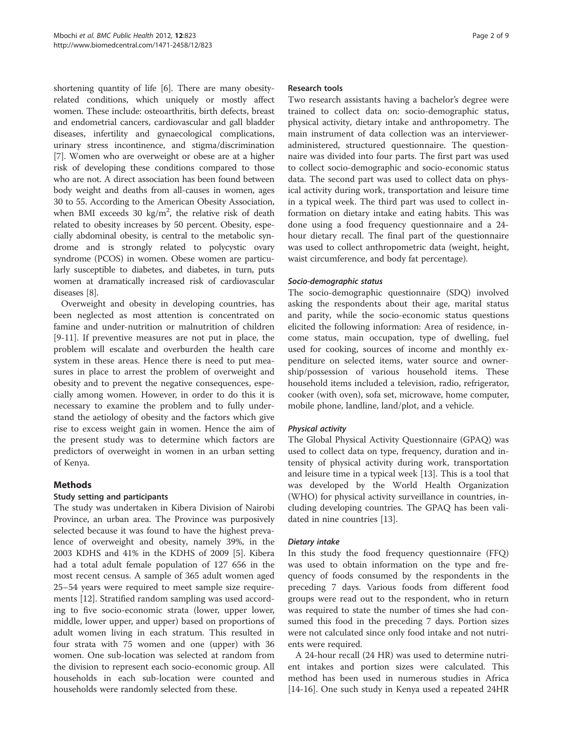shortening quantity of life [\[6\]](#page-7-0). There are many obesityrelated conditions, which uniquely or mostly affect women. These include: osteoarthritis, birth defects, breast and endometrial cancers, cardiovascular and gall bladder diseases, infertility and gynaecological complications, urinary stress incontinence, and stigma/discrimination [[7\]](#page-7-0). Women who are overweight or obese are at a higher risk of developing these conditions compared to those who are not. A direct association has been found between body weight and deaths from all-causes in women, ages 30 to 55. According to the American Obesity Association, when BMI exceeds 30  $\text{kg/m}^2$ , the relative risk of death related to obesity increases by 50 percent. Obesity, especially abdominal obesity, is central to the metabolic syndrome and is strongly related to polycystic ovary syndrome (PCOS) in women. Obese women are particularly susceptible to diabetes, and diabetes, in turn, puts women at dramatically increased risk of cardiovascular diseases [\[8](#page-7-0)].

Overweight and obesity in developing countries, has been neglected as most attention is concentrated on famine and under-nutrition or malnutrition of children [[9-11](#page-7-0)]. If preventive measures are not put in place, the problem will escalate and overburden the health care system in these areas. Hence there is need to put measures in place to arrest the problem of overweight and obesity and to prevent the negative consequences, especially among women. However, in order to do this it is necessary to examine the problem and to fully understand the aetiology of obesity and the factors which give rise to excess weight gain in women. Hence the aim of the present study was to determine which factors are predictors of overweight in women in an urban setting of Kenya.

# Methods

# Study setting and participants

The study was undertaken in Kibera Division of Nairobi Province, an urban area. The Province was purposively selected because it was found to have the highest prevalence of overweight and obesity, namely 39%, in the 2003 KDHS and 41% in the KDHS of 2009 [[5](#page-7-0)]. Kibera had a total adult female population of 127 656 in the most recent census. A sample of 365 adult women aged 25–54 years were required to meet sample size requirements [[12\]](#page-7-0). Stratified random sampling was used according to five socio-economic strata (lower, upper lower, middle, lower upper, and upper) based on proportions of adult women living in each stratum. This resulted in four strata with 75 women and one (upper) with 36 women. One sub-location was selected at random from the division to represent each socio-economic group. All households in each sub-location were counted and households were randomly selected from these.

#### Research tools

Two research assistants having a bachelor's degree were trained to collect data on: socio-demographic status, physical activity, dietary intake and anthropometry. The main instrument of data collection was an intervieweradministered, structured questionnaire. The questionnaire was divided into four parts. The first part was used to collect socio-demographic and socio-economic status data. The second part was used to collect data on physical activity during work, transportation and leisure time in a typical week. The third part was used to collect information on dietary intake and eating habits. This was done using a food frequency questionnaire and a 24 hour dietary recall. The final part of the questionnaire was used to collect anthropometric data (weight, height, waist circumference, and body fat percentage).

#### Socio-demographic status

The socio-demographic questionnaire (SDQ) involved asking the respondents about their age, marital status and parity, while the socio-economic status questions elicited the following information: Area of residence, income status, main occupation, type of dwelling, fuel used for cooking, sources of income and monthly expenditure on selected items, water source and ownership/possession of various household items. These household items included a television, radio, refrigerator, cooker (with oven), sofa set, microwave, home computer, mobile phone, landline, land/plot, and a vehicle.

#### Physical activity

The Global Physical Activity Questionnaire (GPAQ) was used to collect data on type, frequency, duration and intensity of physical activity during work, transportation and leisure time in a typical week [[13\]](#page-7-0). This is a tool that was developed by the World Health Organization (WHO) for physical activity surveillance in countries, including developing countries. The GPAQ has been validated in nine countries [[13\]](#page-7-0).

#### Dietary intake

In this study the food frequency questionnaire (FFQ) was used to obtain information on the type and frequency of foods consumed by the respondents in the preceding 7 days. Various foods from different food groups were read out to the respondent, who in return was required to state the number of times she had consumed this food in the preceding 7 days. Portion sizes were not calculated since only food intake and not nutrients were required.

A 24-hour recall (24 HR) was used to determine nutrient intakes and portion sizes were calculated. This method has been used in numerous studies in Africa [[14-16](#page-7-0)]. One such study in Kenya used a repeated 24HR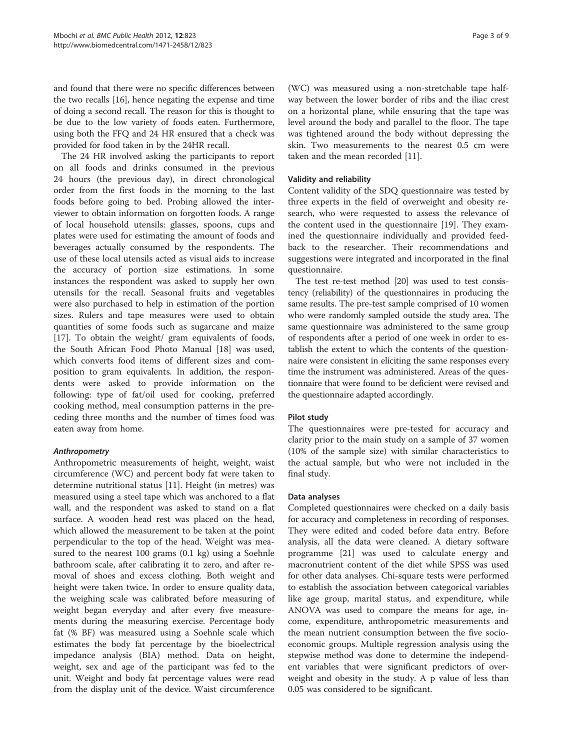and found that there were no specific differences between the two recalls [\[16\]](#page-7-0), hence negating the expense and time of doing a second recall. The reason for this is thought to be due to the low variety of foods eaten. Furthermore, using both the FFQ and 24 HR ensured that a check was provided for food taken in by the 24HR recall.

The 24 HR involved asking the participants to report on all foods and drinks consumed in the previous 24 hours (the previous day), in direct chronological order from the first foods in the morning to the last foods before going to bed. Probing allowed the interviewer to obtain information on forgotten foods. A range of local household utensils: glasses, spoons, cups and plates were used for estimating the amount of foods and beverages actually consumed by the respondents. The use of these local utensils acted as visual aids to increase the accuracy of portion size estimations. In some instances the respondent was asked to supply her own utensils for the recall. Seasonal fruits and vegetables were also purchased to help in estimation of the portion sizes. Rulers and tape measures were used to obtain quantities of some foods such as sugarcane and maize [[17\]](#page-7-0). To obtain the weight/ gram equivalents of foods, the South African Food Photo Manual [[18\]](#page-7-0) was used, which converts food items of different sizes and composition to gram equivalents. In addition, the respondents were asked to provide information on the following: type of fat/oil used for cooking, preferred cooking method, meal consumption patterns in the preceding three months and the number of times food was eaten away from home.

# Anthropometry

Anthropometric measurements of height, weight, waist circumference (WC) and percent body fat were taken to determine nutritional status [[11\]](#page-7-0). Height (in metres) was measured using a steel tape which was anchored to a flat wall, and the respondent was asked to stand on a flat surface. A wooden head rest was placed on the head, which allowed the measurement to be taken at the point perpendicular to the top of the head. Weight was measured to the nearest 100 grams (0.1 kg) using a Soehnle bathroom scale, after calibrating it to zero, and after removal of shoes and excess clothing. Both weight and height were taken twice. In order to ensure quality data, the weighing scale was calibrated before measuring of weight began everyday and after every five measurements during the measuring exercise. Percentage body fat (% BF) was measured using a Soehnle scale which estimates the body fat percentage by the bioelectrical impedance analysis (BIA) method. Data on height, weight, sex and age of the participant was fed to the unit. Weight and body fat percentage values were read from the display unit of the device. Waist circumference

(WC) was measured using a non-stretchable tape halfway between the lower border of ribs and the iliac crest on a horizontal plane, while ensuring that the tape was level around the body and parallel to the floor. The tape was tightened around the body without depressing the skin. Two measurements to the nearest 0.5 cm were taken and the mean recorded [\[11](#page-7-0)].

#### Validity and reliability

Content validity of the SDQ questionnaire was tested by three experts in the field of overweight and obesity research, who were requested to assess the relevance of the content used in the questionnaire [[19\]](#page-7-0). They examined the questionnaire individually and provided feedback to the researcher. Their recommendations and suggestions were integrated and incorporated in the final questionnaire.

The test re-test method [\[20\]](#page-8-0) was used to test consistency (reliability) of the questionnaires in producing the same results. The pre-test sample comprised of 10 women who were randomly sampled outside the study area. The same questionnaire was administered to the same group of respondents after a period of one week in order to establish the extent to which the contents of the questionnaire were consistent in eliciting the same responses every time the instrument was administered. Areas of the questionnaire that were found to be deficient were revised and the questionnaire adapted accordingly.

# Pilot study

The questionnaires were pre-tested for accuracy and clarity prior to the main study on a sample of 37 women (10% of the sample size) with similar characteristics to the actual sample, but who were not included in the final study.

#### Data analyses

Completed questionnaires were checked on a daily basis for accuracy and completeness in recording of responses. They were edited and coded before data entry. Before analysis, all the data were cleaned. A dietary software programme [[21](#page-8-0)] was used to calculate energy and macronutrient content of the diet while SPSS was used for other data analyses. Chi-square tests were performed to establish the association between categorical variables like age group, marital status, and expenditure, while ANOVA was used to compare the means for age, income, expenditure, anthropometric measurements and the mean nutrient consumption between the five socioeconomic groups. Multiple regression analysis using the stepwise method was done to determine the independent variables that were significant predictors of overweight and obesity in the study. A p value of less than 0.05 was considered to be significant.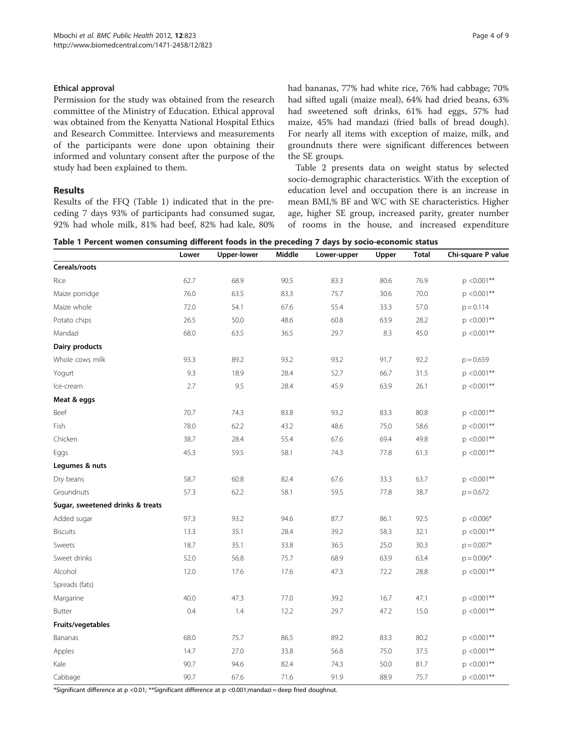#### Ethical approval

Permission for the study was obtained from the research committee of the Ministry of Education. Ethical approval was obtained from the Kenyatta National Hospital Ethics and Research Committee. Interviews and measurements of the participants were done upon obtaining their informed and voluntary consent after the purpose of the study had been explained to them.

# Results

Results of the FFQ (Table 1) indicated that in the preceding 7 days 93% of participants had consumed sugar, 92% had whole milk, 81% had beef, 82% had kale, 80% had bananas, 77% had white rice, 76% had cabbage; 70% had sifted ugali (maize meal), 64% had dried beans, 63% had sweetened soft drinks, 61% had eggs, 57% had maize, 45% had mandazi (fried balls of bread dough). For nearly all items with exception of maize, milk, and groundnuts there were significant differences between the SE groups.

Table [2](#page-4-0) presents data on weight status by selected socio-demographic characteristics. With the exception of education level and occupation there is an increase in mean BMI,% BF and WC with SE characteristics. Higher age, higher SE group, increased parity, greater number of rooms in the house, and increased expenditure

Table 1 Percent women consuming different foods in the preceding 7 days by socio-economic status

| <b>Total</b> | Chi-square P value |
|--------------|--------------------|
|              |                    |
| 76.9         | $p < 0.001**$      |
| 70.0         | $p < 0.001**$      |
| 57.0         | $p = 0.114$        |
| 28.2         | $p < 0.001**$      |
| 45.0         | $p < 0.001**$      |
|              |                    |
| 92.2         | $p = 0.659$        |
| 31.5         | $p < 0.001**$      |
| 26.1         | $p < 0.001**$      |
|              |                    |
| 80.8         | $p < 0.001**$      |
| 58.6         | $p < 0.001**$      |
| 49.8         | $p < 0.001**$      |
| 61.3         | $p < 0.001**$      |
|              |                    |
| 63.7         | $p < 0.001**$      |
| 38.7         | $p = 0.672$        |
|              |                    |
| 92.5         | $p < 0.006*$       |
| 32.1         | $p < 0.001**$      |
| 30.3         | $p = 0.007*$       |
| 63.4         | $p = 0.006*$       |
| 28.8         | $p < 0.001**$      |
|              |                    |
| 47.1         | $p < 0.001**$      |
| 15.0         | $p < 0.001**$      |
|              |                    |
| 80.2         | $p < 0.001**$      |
| 37.5         | $p < 0.001**$      |
| 81.7         | $p < 0.001**$      |
| 75.7         | $p < 0.001**$      |
|              |                    |

\*Significant difference at p <0.01; \*\*Significant difference at p <0.001;mandazi = deep fried doughnut.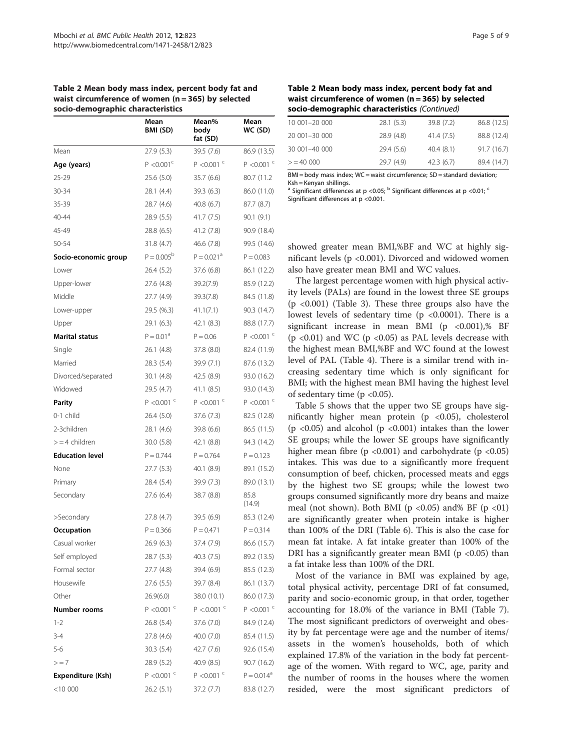<span id="page-4-0"></span>

| Table 2 Mean body mass index, percent body fat and   |
|------------------------------------------------------|
| waist circumference of women $(n = 365)$ by selected |
| socio-demographic characteristics                    |

|                        | Mean<br>BMI (SD)         | Mean%<br>body<br>fat (SD) | Mean<br>WC (SD)          |
|------------------------|--------------------------|---------------------------|--------------------------|
| Mean                   | 27.9(5.3)                | 39.5 (7.6)                | 86.9 (13.5)              |
| Age (years)            | P < 0.001 <sup>c</sup>   | $P < 0.001$ <sup>c</sup>  | $P < 0.001$ <sup>c</sup> |
| 25-29                  | 25.6 (5.0)               | 35.7(6.6)                 | 80.7 (11.2)              |
| 30-34                  | 28.1 (4.4)               | 39.3(6.3)                 | 86.0 (11.0)              |
| 35-39                  | 28.7 (4.6)               | 40.8 (6.7)                | 87.7 (8.7)               |
| 40-44                  | 28.9 (5.5)               | 41.7 (7.5)                | 90.1(9.1)                |
| 45-49                  | 28.8 (6.5)               | 41.2 (7.8)                | 90.9 (18.4)              |
| 50-54                  | 31.8 (4.7)               | 46.6 (7.8)                | 99.5 (14.6)              |
| Socio-economic group   | $P = 0.005^{b}$          | $P = 0.021$ <sup>a</sup>  | $P = 0.083$              |
| Lower                  | 26.4 (5.2)               | 37.6 (6.8)                | 86.1 (12.2)              |
| Upper-lower            | 27.6 (4.8)               | 39.2(7.9)                 | 85.9 (12.2)              |
| Middle                 | 27.7 (4.9)               | 39.3(7.8)                 | 84.5 (11.8)              |
| Lower-upper            | 29.5 (%.3)               | 41.1(7.1)                 | 90.3 (14.7)              |
| Upper                  | 29.1 (6.3)               | 42.1 (8.3)                | 88.8 (17.7)              |
| <b>Marital status</b>  | $P = 0.01a$              | $P = 0.06$                | $P < 0.001$ <sup>c</sup> |
| Single                 | 26.1 (4.8)               | 37.8 (8.0)                | 82.4 (11.9)              |
| Married                | 28.3 (5.4)               | 39.9 (7.1)                | 87.6 (13.2)              |
| Divorced/separated     | 30.1 (4.8)               | 42.5 (8.9)                | 93.0 (16.2)              |
| Widowed                | 29.5 (4.7)               | 41.1 (8.5)                | 93.0 (14.3)              |
| Parity                 | $P < 0.001$ <sup>c</sup> | $P < 0.001$ <sup>c</sup>  | $P < 0.001$ <sup>c</sup> |
| 0-1 child              | 26.4 (5.0)               | 37.6 (7.3)                | 82.5 (12.8)              |
| 2-3children            | 28.1 (4.6)               | 39.8 (6.6)                | 86.5 (11.5)              |
| $> = 4$ children       | 30.0 (5.8)               | 42.1 (8.8)                | 94.3 (14.2)              |
| <b>Education level</b> | $P = 0.744$              | $P = 0.764$               | $P = 0.123$              |
| None                   | 27.7 (5.3)               | 40.1 (8.9)                | 89.1 (15.2)              |
| Primary                | 28.4 (5.4)               | 39.9 (7.3)                | 89.0 (13.1)              |
| Secondary              | 27.6 (6.4)               | 38.7 (8.8)                | 85.8<br>(14.9)           |
| >Secondary             | 27.8 (4.7)               | 39.5 (6.9)                | 85.3 (12.4)              |
| Occupation             | $P = 0.366$              | $P = 0.471$               | $P = 0.314$              |
| Casual worker          | 26.9 (6.3)               | 37.4 (7.9)                | 86.6 (15.7)              |
| Self employed          | 28.7(5.3)                | 40.3 (7.5)                | 89.2 (13.5)              |
| Formal sector          | 27.7 (4.8)               | 39.4 (6.9)                | 85.5 (12.3)              |
| Housewife              | 27.6 (5.5)               | 39.7 (8.4)                | 86.1 (13.7)              |
| Other                  | 26.9(6.0)                | 38.0 (10.1)               | 86.0 (17.3)              |
| Number rooms           | $P < 0.001$ <sup>c</sup> | $P < 0.001$ <sup>c</sup>  | $P < 0.001$ <sup>c</sup> |
| $1 - 2$                | 26.8 (5.4)               | 37.6 (7.0)                | 84.9 (12.4)              |
| $3 - 4$                | 27.8 (4.6)               | 40.0 (7.0)                | 85.4 (11.5)              |
| $5 - 6$                | 30.3 (5.4)               | 42.7 (7.6)                | 92.6 (15.4)              |
| $\geq$ $=$ 7           | 28.9 (5.2)               | 40.9 (8.5)                | 90.7 (16.2)              |
| Expenditure (Ksh)      | $P < 0.001$ <sup>c</sup> | $P < 0.001$ <sup>c</sup>  | $P = 0.014$ <sup>a</sup> |
| $<$ 10 000             | 26.2 (5.1)               | 37.2 (7.7)                | 83.8 (12.7)              |

| Table 2 Mean body mass index, percent body fat and |  |
|----------------------------------------------------|--|
| waist circumference of women (n = 365) by selected |  |
| socio-demographic characteristics (Continued)      |  |

| 10 001-20 000 | 28.1(5.3) | 39.8 (7.2) | 86.8 (12.5) |
|---------------|-----------|------------|-------------|
| 20 001-30 000 | 28.9(4.8) | 41.4 (7.5) | 88.8 (12.4) |
| 30 001-40 000 | 29.4(5.6) | 40.4(8.1)  | 91.7(16.7)  |
| > 40,000      | 29.7(4.9) | 42.3(6.7)  | 89.4 (14.7) |

BMI = body mass index; WC = waist circumference; SD = standard deviation; Ksh = Kenyan shillings.

 $\alpha$  Significant differences at p <0.05; <sup>b</sup> Significant differences at p <0.01; <sup>c</sup> Significant differences at p <0.001.

showed greater mean BMI,%BF and WC at highly significant levels (p <0.001). Divorced and widowed women also have greater mean BMI and WC values.

The largest percentage women with high physical activity levels (PALs) are found in the lowest three SE groups (p <0.001) (Table [3\)](#page-5-0). These three groups also have the lowest levels of sedentary time  $(p \lt 0.0001)$ . There is a significant increase in mean BMI ( $p \le 0.001$ ),% BF (p <0.01) and WC (p <0.05) as PAL levels decrease with the highest mean BMI,%BF and WC found at the lowest level of PAL (Table [4\)](#page-5-0). There is a similar trend with increasing sedentary time which is only significant for BMI; with the highest mean BMI having the highest level of sedentary time ( $p < 0.05$ ).

Table [5](#page-6-0) shows that the upper two SE groups have significantly higher mean protein (p <0.05), cholesterol  $(p \lt 0.05)$  and alcohol  $(p \lt 0.001)$  intakes than the lower SE groups; while the lower SE groups have significantly higher mean fibre (p <0.001) and carbohydrate (p <0.05) intakes. This was due to a significantly more frequent consumption of beef, chicken, processed meats and eggs by the highest two SE groups; while the lowest two groups consumed significantly more dry beans and maize meal (not shown). Both BMI ( $p < 0.05$ ) and% BF ( $p < 01$ ) are significantly greater when protein intake is higher than 100% of the DRI (Table [6\)](#page-6-0). This is also the case for mean fat intake. A fat intake greater than 100% of the DRI has a significantly greater mean BMI ( $p$  <0.05) than a fat intake less than 100% of the DRI.

Most of the variance in BMI was explained by age, total physical activity, percentage DRI of fat consumed, parity and socio-economic group, in that order, together accounting for 18.0% of the variance in BMI (Table [7](#page-6-0)). The most significant predictors of overweight and obesity by fat percentage were age and the number of items/ assets in the women's households, both of which explained 17.8% of the variation in the body fat percentage of the women. With regard to WC, age, parity and the number of rooms in the houses where the women resided, were the most significant predictors of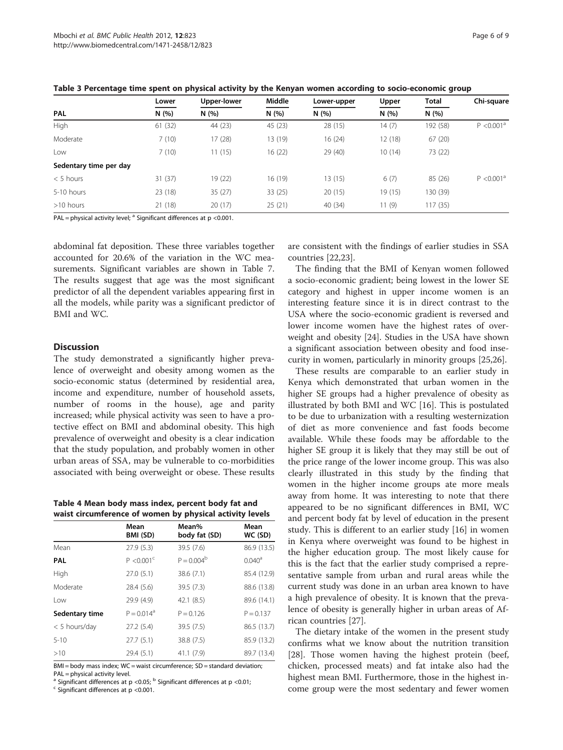| Table 3 Percentage time spent on physical activity by the Kenyan women according to socio-economic group |         |             |         |             |        |              |                        |
|----------------------------------------------------------------------------------------------------------|---------|-------------|---------|-------------|--------|--------------|------------------------|
|                                                                                                          | Lower   | Upper-lower | Middle  | Lower-upper | Upper  | <b>Total</b> | Chi-square             |
| PAL<br>N(%)                                                                                              |         | N(%)        | N(%)    | N(%)        | N(%)   | N(%)         |                        |
| High                                                                                                     | 61(32)  | 44 (23)     | 45 (23) | 28 (15)     | 14 (7) | 192 (58)     | P < 0.001 <sup>a</sup> |
| Moderate                                                                                                 | 7(10)   | 17(28)      | 13 (19) | 16(24)      | 12(18) | 67(20)       |                        |
| Low                                                                                                      | 7(10)   | 11(15)      | 16 (22) | 29 (40)     | 10(14) | 73 (22)      |                        |
| Sedentary time per day                                                                                   |         |             |         |             |        |              |                        |
| $< 5$ hours                                                                                              | 31 (37) | 19 (22)     | 16 (19) | 13(15)      | 6(7)   | 85 (26)      | $P < 0.001^a$          |

<span id="page-5-0"></span>Table 3 Percentage time spent on physical activity by the Kenyan women according to socio-economic group

5-10 hours 23 (18) 35 (27) 33 (25) 20 (15) 19 (15) 130 (39) >10 hours 21 (18) 20 (17) 25 (21) 40 (34) 11 (9) 117 (35)

PAL = physical activity level;  $^{\text{a}}$  Significant differences at p <0.001.

abdominal fat deposition. These three variables together accounted for 20.6% of the variation in the WC measurements. Significant variables are shown in Table [7](#page-6-0). The results suggest that age was the most significant predictor of all the dependent variables appearing first in all the models, while parity was a significant predictor of BMI and WC.

#### **Discussion**

The study demonstrated a significantly higher prevalence of overweight and obesity among women as the socio-economic status (determined by residential area, income and expenditure, number of household assets, number of rooms in the house), age and parity increased; while physical activity was seen to have a protective effect on BMI and abdominal obesity. This high prevalence of overweight and obesity is a clear indication that the study population, and probably women in other urban areas of SSA, may be vulnerable to co-morbidities associated with being overweight or obese. These results

Table 4 Mean body mass index, percent body fat and waist circumference of women by physical activity levels

| waist ch cummerence or women by physical activity levels |                          |                        |                    |  |  |
|----------------------------------------------------------|--------------------------|------------------------|--------------------|--|--|
|                                                          | Mean<br>BMI (SD)         | Mean%<br>body fat (SD) | Mean<br>WC (SD)    |  |  |
| Mean                                                     | 27.9(5.3)                | 39.5 (7.6)             | 86.9 (13.5)        |  |  |
| <b>PAL</b>                                               | $P < 0.001$ <sup>c</sup> | $P = 0.004^b$          | 0.040 <sup>a</sup> |  |  |
| High                                                     | 27.0(5.1)                | 38.6 (7.1)             | 85.4 (12.9)        |  |  |
| Moderate                                                 | 28.4 (5.6)               | 39.5 (7.3)             | 88.6 (13.8)        |  |  |
| Low                                                      | 29.9 (4.9)               | 42.1(8.5)              | 89.6 (14.1)        |  |  |
| Sedentary time                                           | $P = 0.014^a$            | $P = 0.126$            | $P = 0.137$        |  |  |
| $<$ 5 hours/day                                          | 27.2 (5.4)               | 39.5 (7.5)             | 86.5 (13.7)        |  |  |
| $5 - 10$                                                 | 27.7(5.1)                | 38.8 (7.5)             | 85.9 (13.2)        |  |  |
| >10                                                      | 29.4 (5.1)               | 41.1(7.9)              | 89.7 (13.4)        |  |  |

BMI = body mass index; WC = waist circumference; SD = standard deviation; PAL = physical activity level.

<sup>a</sup> Significant differences at p <0.05; <sup>b</sup> Significant differences at p <0.01; <sup>c</sup> Significant differences at p <0.001.

are consistent with the findings of earlier studies in SSA countries [[22](#page-8-0),[23](#page-8-0)].

The finding that the BMI of Kenyan women followed a socio-economic gradient; being lowest in the lower SE category and highest in upper income women is an interesting feature since it is in direct contrast to the USA where the socio-economic gradient is reversed and lower income women have the highest rates of overweight and obesity [[24](#page-8-0)]. Studies in the USA have shown a significant association between obesity and food insecurity in women, particularly in minority groups [\[25,26](#page-8-0)].

These results are comparable to an earlier study in Kenya which demonstrated that urban women in the higher SE groups had a higher prevalence of obesity as illustrated by both BMI and WC [[16](#page-7-0)]. This is postulated to be due to urbanization with a resulting westernization of diet as more convenience and fast foods become available. While these foods may be affordable to the higher SE group it is likely that they may still be out of the price range of the lower income group. This was also clearly illustrated in this study by the finding that women in the higher income groups ate more meals away from home. It was interesting to note that there appeared to be no significant differences in BMI, WC and percent body fat by level of education in the present study. This is different to an earlier study [\[16](#page-7-0)] in women in Kenya where overweight was found to be highest in the higher education group. The most likely cause for this is the fact that the earlier study comprised a representative sample from urban and rural areas while the current study was done in an urban area known to have a high prevalence of obesity. It is known that the prevalence of obesity is generally higher in urban areas of African countries [\[27\]](#page-8-0).

The dietary intake of the women in the present study confirms what we know about the nutrition transition [[28\]](#page-8-0). Those women having the highest protein (beef, chicken, processed meats) and fat intake also had the highest mean BMI. Furthermore, those in the highest income group were the most sedentary and fewer women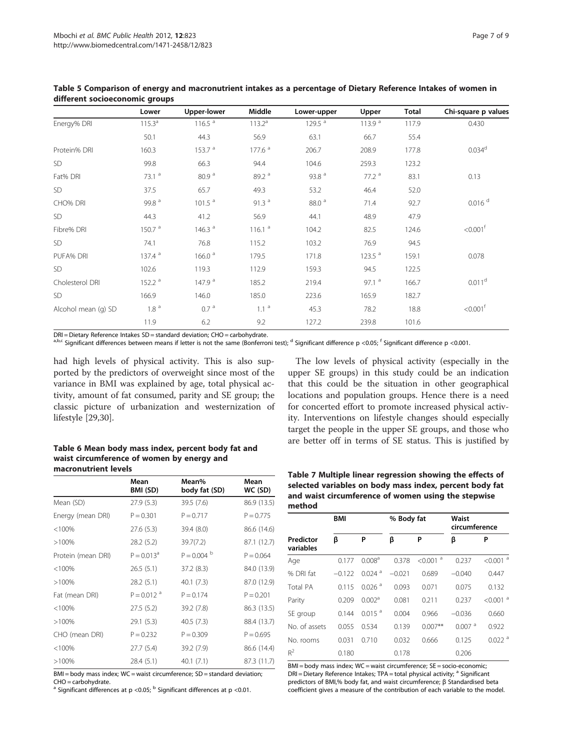|                     | Lower              | <b>Upper-lower</b> | Middle             | Lower-upper       | Upper              | <b>Total</b> | Chi-square p values    |
|---------------------|--------------------|--------------------|--------------------|-------------------|--------------------|--------------|------------------------|
| Energy% DRI         | $115.3^a$          | 116.5 <sup>a</sup> | $113.2^a$          | 129.5 $a$         | 113.9 <sup>a</sup> | 117.9        | 0.430                  |
|                     | 50.1               | 44.3               | 56.9               | 63.1              | 66.7               | 55.4         |                        |
| Protein% DRI        | 160.3              | 153.7 <sup>a</sup> | 177.6 <sup>a</sup> | 206.7             | 208.9              | 177.8        | 0.034 <sup>d</sup>     |
| <b>SD</b>           | 99.8               | 66.3               | 94.4               | 104.6             | 259.3              | 123.2        |                        |
| Fat% DRI            | 73.1 <sup>a</sup>  | 80.9 <sup>a</sup>  | 89.2 <sup>a</sup>  | 93.8 <sup>a</sup> | 77.2 <sup>a</sup>  | 83.1         | 0.13                   |
| SD                  | 37.5               | 65.7               | 49.3               | 53.2              | 46.4               | 52.0         |                        |
| CHO% DRI            | 99.8 <sup>a</sup>  | 101.5 <sup>a</sup> | 91.3 $a$           | 88.0 <sup>a</sup> | 71.4               | 92.7         | $0.016$ <sup>d</sup>   |
| SD                  | 44.3               | 41.2               | 56.9               | 44.1              | 48.9               | 47.9         |                        |
| Fibre% DRI          | 150.7 <sup>a</sup> | 146.3 <sup>a</sup> | 116.1 <sup>a</sup> | 104.2             | 82.5               | 124.6        | $< 0.001$ <sup>f</sup> |
| SD                  | 74.1               | 76.8               | 115.2              | 103.2             | 76.9               | 94.5         |                        |
| PUFA% DRI           | 137.4 <sup>a</sup> | 166.0 <sup>a</sup> | 179.5              | 171.8             | 123.5 <sup>a</sup> | 159.1        | 0.078                  |
| SD                  | 102.6              | 119.3              | 112.9              | 159.3             | 94.5               | 122.5        |                        |
| Cholesterol DRI     | 152.2 <sup>a</sup> | 147.9 <sup>a</sup> | 185.2              | 219.4             | 97.1 <sup>a</sup>  | 166.7        | 0.011 <sup>d</sup>     |
| SD                  | 166.9              | 146.0              | 185.0              | 223.6             | 165.9              | 182.7        |                        |
| Alcohol mean (g) SD | 1.8 <sup>a</sup>   | 0.7 <sup>a</sup>   | 1.1 <sup>a</sup>   | 45.3              | 78.2               | 18.8         | $< 0.001$ <sup>t</sup> |
|                     | 11.9               | 6.2                | 9.2                | 127.2             | 239.8              | 101.6        |                        |

<span id="page-6-0"></span>Table 5 Comparison of energy and macronutrient intakes as a percentage of Dietary Reference Intakes of women in different socioeconomic groups

DRI = Dietary Reference Intakes SD = standard deviation; CHO = carbohydrate.

<sup>a,b,c</sup> Significant differences between means if letter is not the same (Bonferroni test); <sup>d</sup> Significant difference p <0.05; <sup>f</sup> Significant difference p <0.001.

had high levels of physical activity. This is also supported by the predictors of overweight since most of the variance in BMI was explained by age, total physical activity, amount of fat consumed, parity and SE group; the classic picture of urbanization and westernization of lifestyle [\[29,30](#page-8-0)].

Table 6 Mean body mass index, percent body fat and waist circumference of women by energy and macronutrient levels

|                    | Mean<br>BMI (SD)         | Mean%<br>body fat (SD) | Mean<br>WC (SD) |
|--------------------|--------------------------|------------------------|-----------------|
| Mean (SD)          | 27.9(5.3)                | 39.5 (7.6)             | 86.9 (13.5)     |
| Energy (mean DRI)  | $P = 0.301$              | $P = 0.717$            | $P = 0.775$     |
| < 100%             | 27.6 (5.3)               | 39.4 (8.0)             | 86.6 (14.6)     |
| >100%              | 28.2 (5.2)               | 39.7(7.2)              | 87.1 (12.7)     |
| Protein (mean DRI) | $P = 0.013^a$            | $P = 0.004$            | $P = 0.064$     |
| < 100%             | 26.5(5.1)                | 37.2(8.3)              | 84.0 (13.9)     |
| >100%              | 28.2(5.1)                | 40.1(7.3)              | 87.0 (12.9)     |
| Fat (mean DRI)     | $P = 0.012$ <sup>a</sup> | $P = 0.174$            | $P = 0.201$     |
| < 100%             | 27.5(5.2)                | 39.2 (7.8)             | 86.3 (13.5)     |
| $>100\%$           | 29.1(5.3)                | 40.5(7.3)              | 88.4 (13.7)     |
| CHO (mean DRI)     | $P = 0.232$              | $P = 0.309$            | $P = 0.695$     |
| $< 100\%$          | 27.7(5.4)                | 39.2 (7.9)             | 86.6 (14.4)     |
| >100%              | 28.4 (5.1)               | 40.1(7.1)              | 87.3 (11.7)     |

BMI = body mass index; WC = waist circumference; SD = standard deviation; CHO = carbohydrate.

<sup>a</sup> Significant differences at p <0.05; <sup>b</sup> Significant differences at p <0.01.

The low levels of physical activity (especially in the upper SE groups) in this study could be an indication that this could be the situation in other geographical locations and population groups. Hence there is a need for concerted effort to promote increased physical activity. Interventions on lifestyle changes should especially target the people in the upper SE groups, and those who are better off in terms of SE status. This is justified by

Table 7 Multiple linear regression showing the effects of selected variables on body mass index, percent body fat and waist circumference of women using the stepwise method

|                        | <b>BMI</b> |                      | % Body fat |                        | Waist<br>circumference |                        |
|------------------------|------------|----------------------|------------|------------------------|------------------------|------------------------|
| Predictor<br>variables | β          | P                    | β          | P                      | β                      | P                      |
| Age                    | 0.177      | 0.008 <sup>a</sup>   | 0.378      | $< 0.001$ <sup>a</sup> | 0.237                  | $< 0.001$ <sup>a</sup> |
| % DRI fat              | $-0.122$   | $0.024$ <sup>a</sup> | $-0.021$   | 0.689                  | $-0.040$               | 0.447                  |
| <b>Total PA</b>        | 0.115      | $0.026$ <sup>a</sup> | 0.093      | 0.071                  | 0.075                  | 0.132                  |
| Parity                 | 0.209      | 0.002 <sup>a</sup>   | 0.081      | 0.211                  | 0.237                  | $< 0.001$ <sup>a</sup> |
| SE group               | 0.144      | $0.015$ <sup>a</sup> | 0.004      | 0.966                  | $-0.036$               | 0.660                  |
| No. of assets          | 0.055      | 0.534                | 0.139      | $0.007**$              | $0.007$ <sup>a</sup>   | 0.922                  |
| No. rooms              | 0.031      | 0.710                | 0.032      | 0.666                  | 0.125                  | $0.022$ <sup>a</sup>   |
| $R^2$                  | 0.180      |                      | 0.178      |                        | 0.206                  |                        |

BMI = body mass index; WC = waist circumference; SE = socio-economic;  $DRI =$  Dietary Reference Intakes; TPA = total physical activity;  $a$  Significant predictors of BMI,% body fat, and waist circumference; β Standardised beta coefficient gives a measure of the contribution of each variable to the model.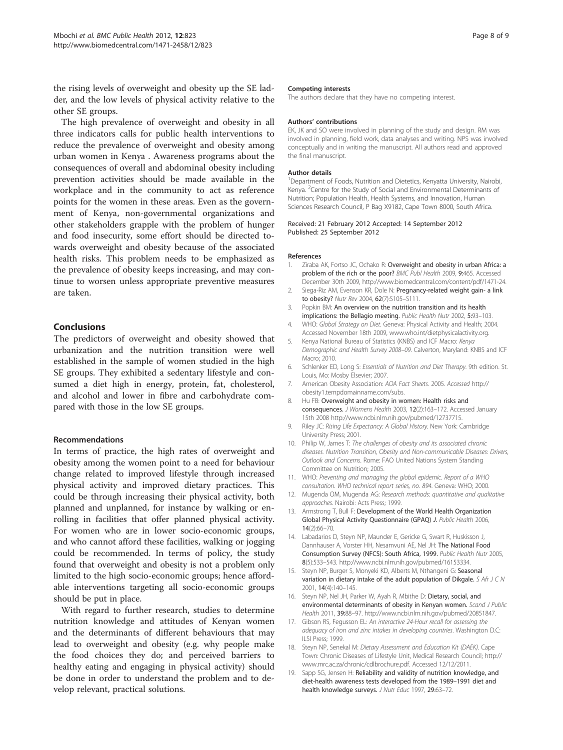<span id="page-7-0"></span>the rising levels of overweight and obesity up the SE ladder, and the low levels of physical activity relative to the other SE groups.

The high prevalence of overweight and obesity in all three indicators calls for public health interventions to reduce the prevalence of overweight and obesity among urban women in Kenya . Awareness programs about the consequences of overall and abdominal obesity including prevention activities should be made available in the workplace and in the community to act as reference points for the women in these areas. Even as the government of Kenya, non-governmental organizations and other stakeholders grapple with the problem of hunger and food insecurity, some effort should be directed towards overweight and obesity because of the associated health risks. This problem needs to be emphasized as the prevalence of obesity keeps increasing, and may continue to worsen unless appropriate preventive measures are taken.

# Conclusions

The predictors of overweight and obesity showed that urbanization and the nutrition transition were well established in the sample of women studied in the high SE groups. They exhibited a sedentary lifestyle and consumed a diet high in energy, protein, fat, cholesterol, and alcohol and lower in fibre and carbohydrate compared with those in the low SE groups.

#### Recommendations

In terms of practice, the high rates of overweight and obesity among the women point to a need for behaviour change related to improved lifestyle through increased physical activity and improved dietary practices. This could be through increasing their physical activity, both planned and unplanned, for instance by walking or enrolling in facilities that offer planned physical activity. For women who are in lower socio-economic groups, and who cannot afford these facilities, walking or jogging could be recommended. In terms of policy, the study found that overweight and obesity is not a problem only limited to the high socio-economic groups; hence affordable interventions targeting all socio-economic groups should be put in place.

With regard to further research, studies to determine nutrition knowledge and attitudes of Kenyan women and the determinants of different behaviours that may lead to overweight and obesity (e.g. why people make the food choices they do; and perceived barriers to healthy eating and engaging in physical activity) should be done in order to understand the problem and to develop relevant, practical solutions.

#### Competing interests

The authors declare that they have no competing interest.

#### Authors' contributions

EK, JK and SO were involved in planning of the study and design. RM was involved in planning, field work, data analyses and writing. NPS was involved conceptually and in writing the manuscript. All authors read and approved the final manuscript.

#### Author details

<sup>1</sup>Department of Foods, Nutrition and Dietetics, Kenyatta University, Nairobi Kenya. <sup>2</sup> Centre for the Study of Social and Environmental Determinants of Nutrition; Population Health, Health Systems, and Innovation, Human Sciences Research Council, P Bag X9182, Cape Town 8000, South Africa.

Received: 21 February 2012 Accepted: 14 September 2012 Published: 25 September 2012

#### References

- 1. Ziraba AK, Fortso JC, Ochako R: Overweight and obesity in urban Africa: a problem of the rich or the poor? BMC Publ Health 2009, 9:465. Accessed December 30th 2009, [http://www.biomedcentral.com/content/pdf/1471-24.](http://www.biomedcentral.com/content/pdf/1471-24)
- 2. Siega-Riz AM, Evenson KR, Dole N: Pregnancy-related weight gain- a link to obesity? Nutr Rev 2004, 62(7):S105–S111.
- 3. Popkin BM: An overview on the nutrition transition and its health implications: the Bellagio meeting. Public Health Nutr 2002, 5:93-103.
- 4. WHO: Global Strategy on Diet. Geneva: Physical Activity and Health; 2004. Accessed November 18th 2009, [www.who.int/dietphysicalactivity.org.](http://www.who.int/dietphysicalactivity.org)
- 5. Kenya National Bureau of Statistics (KNBS) and ICF Macro: Kenya Demographic and Health Survey 2008–09. Calverton, Maryland: KNBS and ICF Macro; 2010.
- 6. Schlenker ED, Long S: Essentials of Nutrition and Diet Therapy. 9th edition. St. Louis, Mo: Mosby Elsevier; 2007.
- 7. American Obesity Association: AOA Fact Sheets. 2005. Accessed [http://](http://obesity1.tempdomainname.com/subs) [obesity1.tempdomainname.com/subs](http://obesity1.tempdomainname.com/subs).
- 8. Hu FB: Overweight and obesity in women: Health risks and consequences. J Womens Health 2003, 12(2):163–172. Accessed January 15th 2008<http://www.ncbi.nlm.nih.gov/pubmed/12737715>.
- 9. Riley JC: Rising Life Expectancy: A Global History. New York: Cambridge University Press; 2001.
- 10. Philip W, James T: The challenges of obesity and its associated chronic diseases. Nutrition Transition, Obesity and Non-communicable Diseases: Drivers, Outlook and Concerns. Rome: FAO United Nations System Standing Committee on Nutrition; 2005.
- 11. WHO: Preventing and managing the global epidemic. Report of a WHO consultation. WHO technical report series, no. 894. Geneva: WHO; 2000.
- 12. Mugenda OM, Mugenda AG: Research methods: quantitative and qualitative approaches. Nairobi: Acts Press; 1999.
- 13. Armstrong T, Bull F: Development of the World Health Organization Global Physical Activity Questionnaire (GPAQ) J. Public Health 2006, 14(2):66–70.
- 14. Labadarios D, Steyn NP, Maunder E, Gericke G, Swart R, Huskisson J, Dannhauser A, Vorster HH, Nesamvuni AE, Nel JH: The National Food Consumption Survey (NFCS): South Africa, 1999. Public Health Nutr 2005, 8(5):533–543. [http://www.ncbi.nlm.nih.gov/pubmed/16153334.](http://www.ncbi.nlm.nih.gov/pubmed/16153334)
- 15. Steyn NP, Burger S, Monyeki KD, Alberts M, Nthangeni G: Seasonal variation in dietary intake of the adult population of Dikgale. S Afr J C N 2001, 14(4):140–145.
- 16. Steyn NP, Nel JH, Parker W, Ayah R, Mbithe D: Dietary, social, and environmental determinants of obesity in Kenyan women. Scand J Public Health 2011, 39:88–97. [http://www.ncbi.nlm.nih.gov/pubmed/20851847.](http://www.ncbi.nlm.nih.gov/pubmed/20851847)
- 17. Gibson RS, Fegusson EL: An interactive 24-Hour recall for assessing the adequacy of iron and zinc intakes in developing countries. Washington D.C: ILSI Press; 1999.
- 18. Steyn NP, Senekal M: Dietary Assessment and Education Kit (DAEK). Cape Town: Chronic Diseases of Lifestyle Unit, Medical Research Council; [http://](http://www.mrc.ac.za/chronic/cdlbrochure.pdf) [www.mrc.ac.za/chronic/cdlbrochure.pdf.](http://www.mrc.ac.za/chronic/cdlbrochure.pdf) Accessed 12/12/2011.
- 19. Sapp SG, Jensen H: Reliability and validity of nutrition knowledge, and diet-health awareness tests developed from the 1989–1991 diet and health knowledge surveys. J Nutr Educ 1997, 29:63–72.